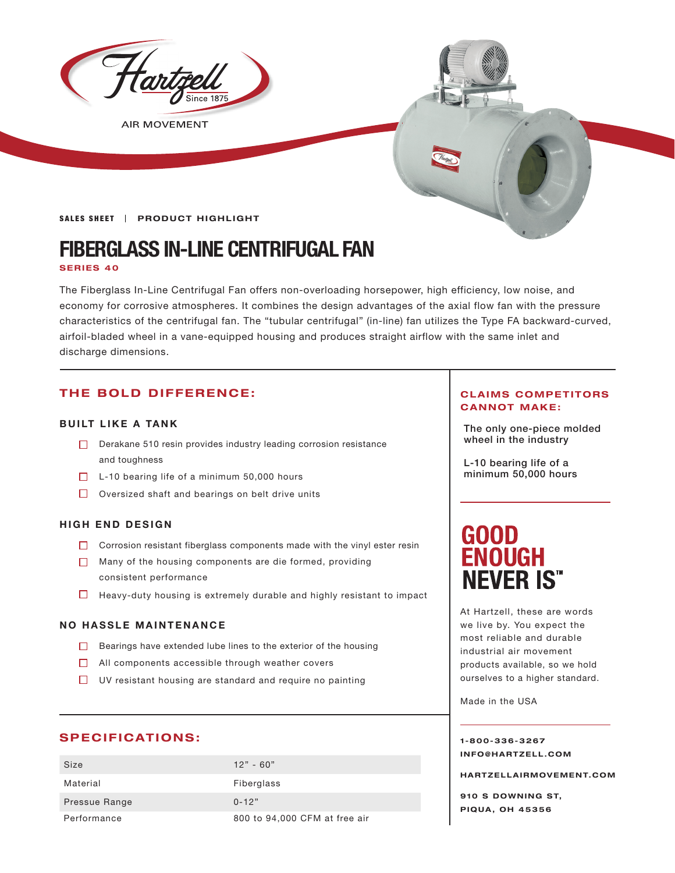

**AIR MOVEMENT** 

**SALES SHEET | PRODUCT HIGHLIGHT** 

# **FIBERGLASS IN-LINE CENTRIFUGAL FAN**

#### **SERIES 40**

The Fiberglass In-Line Centrifugal Fan offers non-overloading horsepower, high efficiency, low noise, and economy for corrosive atmospheres. It combines the design advantages of the axial flow fan with the pressure characteristics of the centrifugal fan. The "tubular centrifugal" (in-line) fan utilizes the Type FA backward-curved, airfoil-bladed wheel in a vane-equipped housing and produces straight airflow with the same inlet and discharge dimensions.

### **THE BOLD DIFFERENCE:**

#### **BUILT LIKE A TANK**

- $\Box$  Derakane 510 resin provides industry leading corrosion resistance  $\Box$  wheel in the industry and toughness
- $\Box$  L-10 bearing life of a minimum 50,000 hours
- $\Box$  Oversized shaft and bearings on belt drive units

#### **HIGH END DESIGN**

- $\Box$  Corrosion resistant fiberglass components made with the vinyl ester resin
- Many of the housing components are die formed, providing consistent performance
- $\Box$  Heavy-duty housing is extremely durable and highly resistant to impact

#### **NO HASSLE MAINTENANCE**

- $\Box$  Bearings have extended lube lines to the exterior of the housing
- $\Box$  All components accessible through weather covers
- $\Box$  UV resistant housing are standard and require no painting

#### **SPECIFICATIONS:**

| Size          | $12" - 60"$                   |
|---------------|-------------------------------|
| Material      | Fiberglass                    |
| Pressue Range | $0 - 12"$                     |
| Performance   | 800 to 94,000 CFM at free air |

#### **CLAIMS COMPETITORS CANNOT MAKE:**

The only one-piece molded

L-10 bearing life of a minimum 50,000 hours

# **GOOD<br>ENOUGH NEVER IS<sup>\*\*</sup>**

At Hartzell, these are words we live by. You expect the most reliable and durable industrial air movement products available, so we hold ourselves to a higher standard.

Made in the USA

**1-800-336-3267 I N F O @ H A R T Z E L L . C OM** 

**HARTZELLA IRMOVEMENT.COM**

**910 S DOWNING ST, PIQUA, OH 45356**